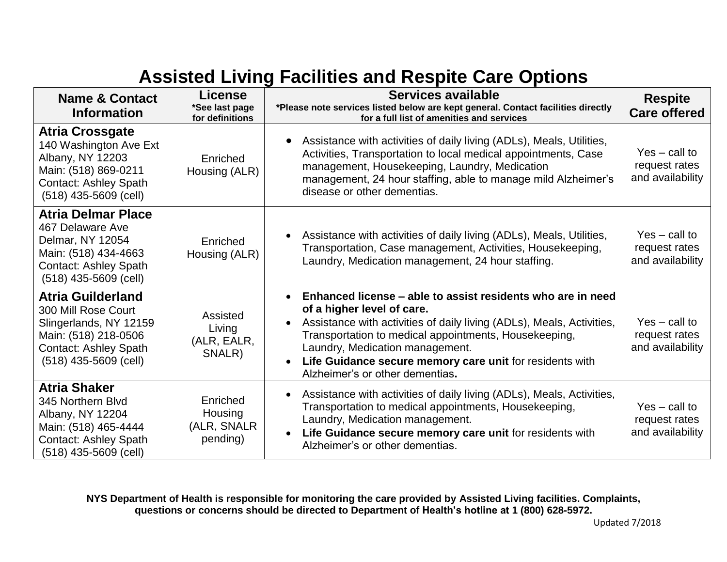## **Assisted Living Facilities and Respite Care Options**

| <b>Name &amp; Contact</b><br><b>Information</b>                                                                                                              | License<br>*See last page                      | Services available<br>*Please note services listed below are kept general. Contact facilities directly                                                                                                                                                                                                                                                                     | <b>Respite</b><br><b>Care offered</b>                |
|--------------------------------------------------------------------------------------------------------------------------------------------------------------|------------------------------------------------|----------------------------------------------------------------------------------------------------------------------------------------------------------------------------------------------------------------------------------------------------------------------------------------------------------------------------------------------------------------------------|------------------------------------------------------|
| <b>Atria Crossgate</b><br>140 Washington Ave Ext<br>Albany, NY 12203<br>Main: (518) 869-0211<br><b>Contact: Ashley Spath</b><br>$(518)$ 435-5609 (cell)      | for definitions<br>Enriched<br>Housing (ALR)   | for a full list of amenities and services<br>Assistance with activities of daily living (ADLs), Meals, Utilities,<br>Activities, Transportation to local medical appointments, Case<br>management, Housekeeping, Laundry, Medication<br>management, 24 hour staffing, able to manage mild Alzheimer's<br>disease or other dementias.                                       | $Yes - call to$<br>request rates<br>and availability |
| <b>Atria Delmar Place</b><br>467 Delaware Ave<br>Delmar, NY 12054<br>Main: (518) 434-4663<br><b>Contact: Ashley Spath</b><br>$(518)$ 435-5609 (cell)         | Enriched<br>Housing (ALR)                      | Assistance with activities of daily living (ADLs), Meals, Utilities,<br>Transportation, Case management, Activities, Housekeeping,<br>Laundry, Medication management, 24 hour staffing.                                                                                                                                                                                    | $Yes - call to$<br>request rates<br>and availability |
| <b>Atria Guilderland</b><br>300 Mill Rose Court<br>Slingerlands, NY 12159<br>Main: (518) 218-0506<br><b>Contact: Ashley Spath</b><br>$(518)$ 435-5609 (cell) | Assisted<br>Living<br>(ALR, EALR,<br>SNALR)    | Enhanced license – able to assist residents who are in need<br>$\bullet$<br>of a higher level of care.<br>Assistance with activities of daily living (ADLs), Meals, Activities,<br>Transportation to medical appointments, Housekeeping,<br>Laundry, Medication management.<br>Life Guidance secure memory care unit for residents with<br>Alzheimer's or other dementias. | $Yes - call to$<br>request rates<br>and availability |
| <b>Atria Shaker</b><br>345 Northern Blvd<br>Albany, NY 12204<br>Main: (518) 465-4444<br><b>Contact: Ashley Spath</b><br>$(518)$ 435-5609 (cell)              | Enriched<br>Housing<br>(ALR, SNALR<br>pending) | Assistance with activities of daily living (ADLs), Meals, Activities,<br>Transportation to medical appointments, Housekeeping,<br>Laundry, Medication management.<br>Life Guidance secure memory care unit for residents with<br>$\bullet$<br>Alzheimer's or other dementias.                                                                                              | $Yes - call to$<br>request rates<br>and availability |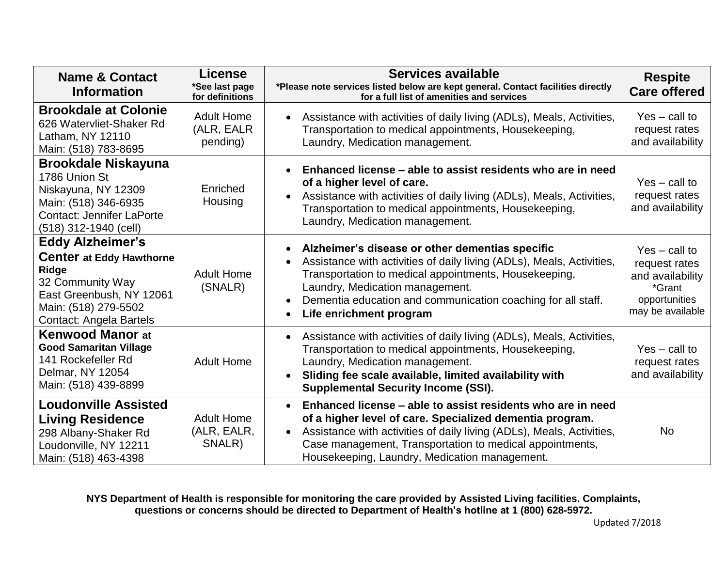| <b>Name &amp; Contact</b><br><b>Information</b>                                                                                                                        | License<br>*See last page<br>for definitions | Services available<br>*Please note services listed below are kept general. Contact facilities directly<br>for a full list of amenities and services                                                                                                                                                                        | <b>Respite</b><br><b>Care offered</b>                                                               |
|------------------------------------------------------------------------------------------------------------------------------------------------------------------------|----------------------------------------------|----------------------------------------------------------------------------------------------------------------------------------------------------------------------------------------------------------------------------------------------------------------------------------------------------------------------------|-----------------------------------------------------------------------------------------------------|
| <b>Brookdale at Colonie</b><br>626 Watervliet-Shaker Rd<br>Latham, NY 12110<br>Main: (518) 783-8695                                                                    | <b>Adult Home</b><br>(ALR, EALR<br>pending)  | Assistance with activities of daily living (ADLs), Meals, Activities,<br>Transportation to medical appointments, Housekeeping,<br>Laundry, Medication management.                                                                                                                                                          | $Yes - call to$<br>request rates<br>and availability                                                |
| <b>Brookdale Niskayuna</b><br>1786 Union St<br>Niskayuna, NY 12309<br>Main: (518) 346-6935<br><b>Contact: Jennifer LaPorte</b><br>(518) 312-1940 (cell)                | Enriched<br>Housing                          | Enhanced license – able to assist residents who are in need<br>of a higher level of care.<br>Assistance with activities of daily living (ADLs), Meals, Activities,<br>Transportation to medical appointments, Housekeeping,<br>Laundry, Medication management.                                                             | $Yes - call to$<br>request rates<br>and availability                                                |
| <b>Eddy Alzheimer's</b><br><b>Center at Eddy Hawthorne</b><br>Ridge<br>32 Community Way<br>East Greenbush, NY 12061<br>Main: (518) 279-5502<br>Contact: Angela Bartels | <b>Adult Home</b><br>(SNALR)                 | Alzheimer's disease or other dementias specific<br>Assistance with activities of daily living (ADLs), Meals, Activities,<br>Transportation to medical appointments, Housekeeping,<br>Laundry, Medication management.<br>Dementia education and communication coaching for all staff.<br>Life enrichment program            | $Yes - call to$<br>request rates<br>and availability<br>*Grant<br>opportunities<br>may be available |
| <b>Kenwood Manor at</b><br><b>Good Samaritan Village</b><br>141 Rockefeller Rd<br>Delmar, NY 12054<br>Main: (518) 439-8899                                             | <b>Adult Home</b>                            | Assistance with activities of daily living (ADLs), Meals, Activities,<br>$\bullet$<br>Transportation to medical appointments, Housekeeping,<br>Laundry, Medication management.<br>Sliding fee scale available, limited availability with<br><b>Supplemental Security Income (SSI).</b>                                     | $Yes - call to$<br>request rates<br>and availability                                                |
| <b>Loudonville Assisted</b><br><b>Living Residence</b><br>298 Albany-Shaker Rd<br>Loudonville, NY 12211<br>Main: (518) 463-4398                                        | <b>Adult Home</b><br>(ALR, EALR,<br>SNALR)   | Enhanced license – able to assist residents who are in need<br>of a higher level of care. Specialized dementia program.<br>Assistance with activities of daily living (ADLs), Meals, Activities,<br>$\bullet$<br>Case management, Transportation to medical appointments,<br>Housekeeping, Laundry, Medication management. | <b>No</b>                                                                                           |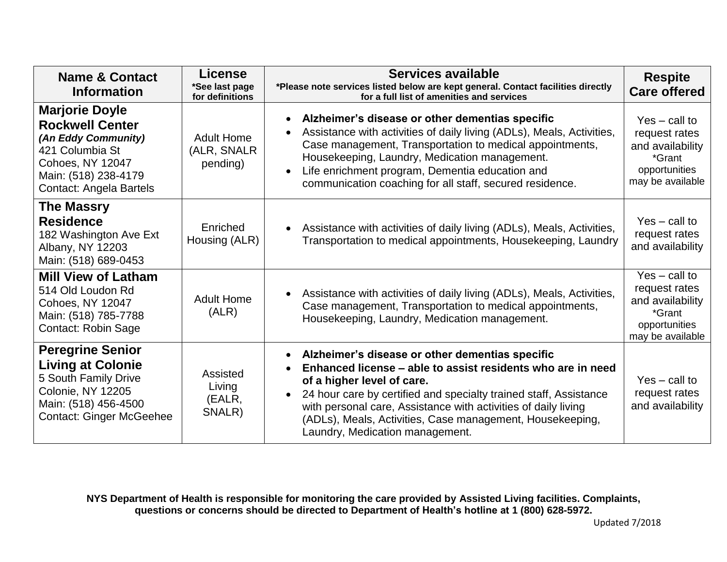| <b>Name &amp; Contact</b><br><b>Information</b>                                                                                                                  | <b>License</b><br>*See last page<br>for definitions | Services available<br>*Please note services listed below are kept general. Contact facilities directly<br>for a full list of amenities and services                                                                                                                                                                                                                                 | <b>Respite</b><br><b>Care offered</b>                                                               |
|------------------------------------------------------------------------------------------------------------------------------------------------------------------|-----------------------------------------------------|-------------------------------------------------------------------------------------------------------------------------------------------------------------------------------------------------------------------------------------------------------------------------------------------------------------------------------------------------------------------------------------|-----------------------------------------------------------------------------------------------------|
| <b>Marjorie Doyle</b><br><b>Rockwell Center</b><br>(An Eddy Community)<br>421 Columbia St<br>Cohoes, NY 12047<br>Main: (518) 238-4179<br>Contact: Angela Bartels | <b>Adult Home</b><br>(ALR, SNALR<br>pending)        | Alzheimer's disease or other dementias specific<br>Assistance with activities of daily living (ADLs), Meals, Activities,<br>Case management, Transportation to medical appointments,<br>Housekeeping, Laundry, Medication management.<br>Life enrichment program, Dementia education and<br>communication coaching for all staff, secured residence.                                | $Yes - call to$<br>request rates<br>and availability<br>*Grant<br>opportunities<br>may be available |
| <b>The Massry</b><br><b>Residence</b><br>182 Washington Ave Ext<br>Albany, NY 12203<br>Main: (518) 689-0453                                                      | Enriched<br>Housing (ALR)                           | Assistance with activities of daily living (ADLs), Meals, Activities,<br>Transportation to medical appointments, Housekeeping, Laundry                                                                                                                                                                                                                                              | $Yes - call to$<br>request rates<br>and availability                                                |
| <b>Mill View of Latham</b><br>514 Old Loudon Rd<br>Cohoes, NY 12047<br>Main: (518) 785-7788<br>Contact: Robin Sage                                               | <b>Adult Home</b><br>(ALR)                          | Assistance with activities of daily living (ADLs), Meals, Activities,<br>Case management, Transportation to medical appointments,<br>Housekeeping, Laundry, Medication management.                                                                                                                                                                                                  | $Yes - call to$<br>request rates<br>and availability<br>*Grant<br>opportunities<br>may be available |
| <b>Peregrine Senior</b><br><b>Living at Colonie</b><br>5 South Family Drive<br>Colonie, NY 12205<br>Main: (518) 456-4500<br><b>Contact: Ginger McGeehee</b>      | Assisted<br>Living<br>(EALR,<br>SNALR)              | Alzheimer's disease or other dementias specific<br>Enhanced license – able to assist residents who are in need<br>of a higher level of care.<br>24 hour care by certified and specialty trained staff, Assistance<br>with personal care, Assistance with activities of daily living<br>(ADLs), Meals, Activities, Case management, Housekeeping,<br>Laundry, Medication management. | $Yes - call to$<br>request rates<br>and availability                                                |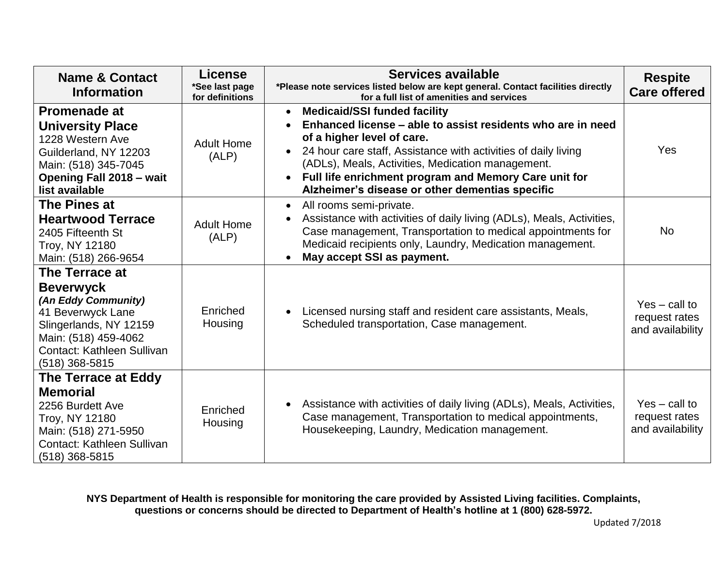| <b>Name &amp; Contact</b><br><b>Information</b>                                                                                                                                  | <b>License</b><br>*See last page<br>for definitions | Services available<br>*Please note services listed below are kept general. Contact facilities directly<br>for a full list of amenities and services                                                                                                                                                                                                                              | <b>Respite</b><br><b>Care offered</b>                |
|----------------------------------------------------------------------------------------------------------------------------------------------------------------------------------|-----------------------------------------------------|----------------------------------------------------------------------------------------------------------------------------------------------------------------------------------------------------------------------------------------------------------------------------------------------------------------------------------------------------------------------------------|------------------------------------------------------|
| <b>Promenade at</b><br><b>University Place</b><br>1228 Western Ave<br>Guilderland, NY 12203<br>Main: (518) 345-7045<br><b>Opening Fall 2018 - wait</b><br>list available         | <b>Adult Home</b><br>(ALP)                          | <b>Medicaid/SSI funded facility</b><br>$\bullet$<br>Enhanced license – able to assist residents who are in need<br>of a higher level of care.<br>24 hour care staff, Assistance with activities of daily living<br>(ADLs), Meals, Activities, Medication management.<br>Full life enrichment program and Memory Care unit for<br>Alzheimer's disease or other dementias specific | Yes                                                  |
| The Pines at<br><b>Heartwood Terrace</b><br>2405 Fifteenth St<br>Troy, NY 12180<br>Main: (518) 266-9654                                                                          | <b>Adult Home</b><br>(ALP)                          | All rooms semi-private.<br>$\bullet$<br>Assistance with activities of daily living (ADLs), Meals, Activities,<br>Case management, Transportation to medical appointments for<br>Medicaid recipients only, Laundry, Medication management.<br>May accept SSI as payment.                                                                                                          | <b>No</b>                                            |
| The Terrace at<br><b>Beverwyck</b><br>(An Eddy Community)<br>41 Beverwyck Lane<br>Slingerlands, NY 12159<br>Main: (518) 459-4062<br>Contact: Kathleen Sullivan<br>(518) 368-5815 | Enriched<br>Housing                                 | Licensed nursing staff and resident care assistants, Meals,<br>Scheduled transportation, Case management.                                                                                                                                                                                                                                                                        | $Yes - call to$<br>request rates<br>and availability |
| The Terrace at Eddy<br><b>Memorial</b><br>2256 Burdett Ave<br>Troy, NY 12180<br>Main: (518) 271-5950<br>Contact: Kathleen Sullivan<br>(518) 368-5815                             | Enriched<br>Housing                                 | Assistance with activities of daily living (ADLs), Meals, Activities,<br>Case management, Transportation to medical appointments,<br>Housekeeping, Laundry, Medication management.                                                                                                                                                                                               | $Yes - call to$<br>request rates<br>and availability |